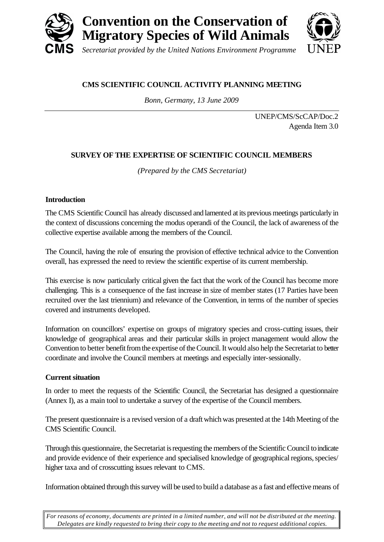

# **CMS SCIENTIFIC COUNCIL ACTIVITY PLANNING MEETING**

*Bonn, Germany, 13 June 2009*

UNEP/CMS/ScCAP/Doc.2 Agenda Item 3.0

# **SURVEY OF THE EXPERTISE OF SCIENTIFIC COUNCIL MEMBERS**

*(Prepared by the CMS Secretariat)*

# **Introduction**

The CMS Scientific Council has already discussed and lamented at its previous meetings particularly in the context of discussions concerning the modus operandi of the Council, the lack of awareness of the collective expertise available among the members of the Council.

The Council, having the role of ensuring the provision of effective technical advice to the Convention overall, has expressed the need to review the scientific expertise of its current membership.

This exercise is now particularly critical given the fact that the work of the Council has become more challenging. This is a consequence of the fast increase in size of member states (17 Parties have been recruited over the last triennium) and relevance of the Convention, in terms of the number of species covered and instruments developed.

Information on councillors' expertise on groups of migratory species and cross-cutting issues, their knowledge of geographical areas and their particular skills in project management would allow the Convention to better benefit from the expertise of the Council. It would also help the Secretariat to better coordinate and involve the Council members at meetings and especially inter-sessionally.

# **Current situation**

In order to meet the requests of the Scientific Council, the Secretariat has designed a questionnaire (Annex I), as a main tool to undertake a survey of the expertise of the Council members.

The present questionnaire is a revised version of a draft which was presented at the 14th Meeting of the CMS Scientific Council.

Through this questionnaire, the Secretariat is requesting the members of the Scientific Council to indicate and provide evidence of their experience and specialised knowledge of geographical regions, species/ higher taxa and of crosscutting issues relevant to CMS.

Information obtained through this survey will be used to build a database as a fast and effective means of

*For reasons of economy, documents are printed in a limited number, and will not be distributed at the meeting. Delegates are kindly requested to bring their copy to the meeting and not to request additional copies.*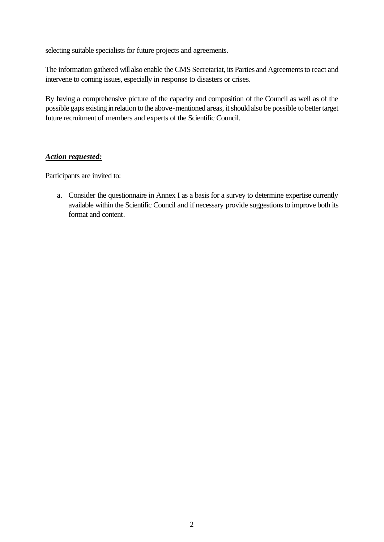selecting suitable specialists for future projects and agreements.

The information gathered will also enable the CMS Secretariat, its Parties and Agreements to react and intervene to coming issues, especially in response to disasters or crises.

By having a comprehensive picture of the capacity and composition of the Council as well as of the possible gaps existing in relation to the above-mentioned areas, it should also be possible to better target future recruitment of members and experts of the Scientific Council.

# *Action requested:*

Participants are invited to:

a. Consider the questionnaire in Annex I as a basis for a survey to determine expertise currently available within the Scientific Council and if necessary provide suggestions to improve both its format and content.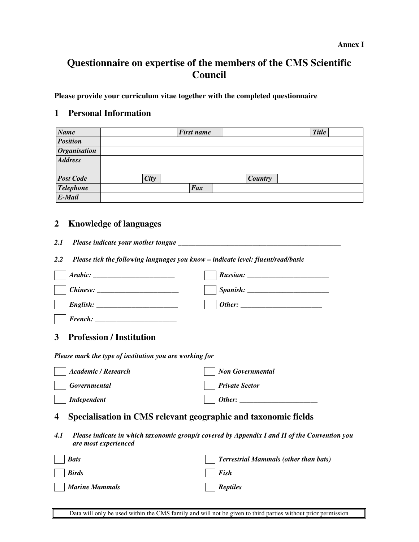# **Questionnaire on expertise of the members of the CMS Scientific Council**

**Please provide your curriculum vitae together with the completed questionnaire** 

# **1 Personal Information**

| <b>Name</b>         |             | <b>First name</b> |         | <b>Title</b> |
|---------------------|-------------|-------------------|---------|--------------|
| <b>Position</b>     |             |                   |         |              |
| <b>Organisation</b> |             |                   |         |              |
| <b>Address</b>      |             |                   |         |              |
|                     |             |                   |         |              |
| <b>Post Code</b>    | <b>City</b> |                   | Country |              |
| <b>Telephone</b>    |             | Fax               |         |              |
| E-Mail              |             |                   |         |              |

# **2 Knowledge of languages**

- *2.1 Please indicate your mother tongue \_\_\_\_\_\_\_\_\_\_\_\_\_\_\_\_\_\_\_\_\_\_\_\_\_\_\_\_\_\_\_\_\_\_\_\_\_\_\_\_\_\_\_\_\_\_*
- *2.2 Please tick the following languages you know indicate level: fluent/read/basic*

| $Chinese: \_\_$                                                                                                              |                                              |  |  |  |  |  |
|------------------------------------------------------------------------------------------------------------------------------|----------------------------------------------|--|--|--|--|--|
|                                                                                                                              |                                              |  |  |  |  |  |
|                                                                                                                              |                                              |  |  |  |  |  |
| <b>Profession / Institution</b><br>3                                                                                         |                                              |  |  |  |  |  |
| Please mark the type of institution you are working for                                                                      |                                              |  |  |  |  |  |
| <b>Academic / Research</b>                                                                                                   | <b>Non Governmental</b>                      |  |  |  |  |  |
| <b>Governmental</b>                                                                                                          | <b>Private Sector</b>                        |  |  |  |  |  |
| <b>Independent</b>                                                                                                           |                                              |  |  |  |  |  |
| Specialisation in CMS relevant geographic and taxonomic fields<br>4                                                          |                                              |  |  |  |  |  |
| 4.1<br>Please indicate in which taxonomic group/s covered by Appendix I and II of the Convention you<br>are most experienced |                                              |  |  |  |  |  |
| <b>Bats</b>                                                                                                                  | <b>Terrestrial Mammals (other than bats)</b> |  |  |  |  |  |
| <b>Birds</b>                                                                                                                 | <b>Fish</b>                                  |  |  |  |  |  |
| <b>Marine Mammals</b>                                                                                                        | <b>Reptiles</b>                              |  |  |  |  |  |

Data will only be used within the CMS family and will not be given to third parties without prior permission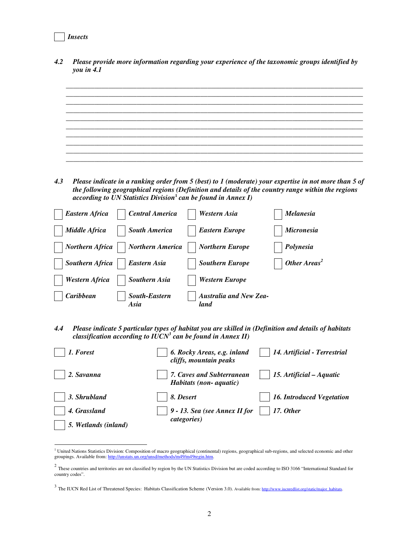### *Insects*

*4.2 Please provide more information regarding your experience of the taxonomic groups identified by you in 4.1 \_\_\_\_\_\_\_\_\_\_\_\_\_\_\_\_\_\_\_\_\_\_\_\_\_\_\_\_\_\_\_\_\_\_\_\_\_\_\_\_\_\_\_\_\_\_\_\_\_\_\_\_\_\_\_\_\_\_\_\_\_\_\_\_\_\_\_\_\_\_\_\_\_\_\_\_\_\_\_\_\_\_\_\_ \_\_\_\_\_\_\_\_\_\_\_\_\_\_\_\_\_\_\_\_\_\_\_\_\_\_\_\_\_\_\_\_\_\_\_\_\_\_\_\_\_\_\_\_\_\_\_\_\_\_\_\_\_\_\_\_\_\_\_\_\_\_\_\_\_\_\_\_\_\_\_\_\_\_\_\_\_\_\_\_\_\_\_\_ \_\_\_\_\_\_\_\_\_\_\_\_\_\_\_\_\_\_\_\_\_\_\_\_\_\_\_\_\_\_\_\_\_\_\_\_\_\_\_\_\_\_\_\_\_\_\_\_\_\_\_\_\_\_\_\_\_\_\_\_\_\_\_\_\_\_\_\_\_\_\_\_\_\_\_\_\_\_\_\_\_\_\_\_ \_\_\_\_\_\_\_\_\_\_\_\_\_\_\_\_\_\_\_\_\_\_\_\_\_\_\_\_\_\_\_\_\_\_\_\_\_\_\_\_\_\_\_\_\_\_\_\_\_\_\_\_\_\_\_\_\_\_\_\_\_\_\_\_\_\_\_\_\_\_\_\_\_\_\_\_\_\_\_\_\_\_\_\_ \_\_\_\_\_\_\_\_\_\_\_\_\_\_\_\_\_\_\_\_\_\_\_\_\_\_\_\_\_\_\_\_\_\_\_\_\_\_\_\_\_\_\_\_\_\_\_\_\_\_\_\_\_\_\_\_\_\_\_\_\_\_\_\_\_\_\_\_\_\_\_\_\_\_\_\_\_\_\_\_\_\_\_\_ \_\_\_\_\_\_\_\_\_\_\_\_\_\_\_\_\_\_\_\_\_\_\_\_\_\_\_\_\_\_\_\_\_\_\_\_\_\_\_\_\_\_\_\_\_\_\_\_\_\_\_\_\_\_\_\_\_\_\_\_\_\_\_\_\_\_\_\_\_\_\_\_\_\_\_\_\_\_\_\_\_\_\_\_ \_\_\_\_\_\_\_\_\_\_\_\_\_\_\_\_\_\_\_\_\_\_\_\_\_\_\_\_\_\_\_\_\_\_\_\_\_\_\_\_\_\_\_\_\_\_\_\_\_\_\_\_\_\_\_\_\_\_\_\_\_\_\_\_\_\_\_\_\_\_\_\_\_\_\_\_\_\_\_\_\_\_\_\_ \_\_\_\_\_\_\_\_\_\_\_\_\_\_\_\_\_\_\_\_\_\_\_\_\_\_\_\_\_\_\_\_\_\_\_\_\_\_\_\_\_\_\_\_\_\_\_\_\_\_\_\_\_\_\_\_\_\_\_\_\_\_\_\_\_\_\_\_\_\_\_\_\_\_\_\_\_\_\_\_\_\_\_\_ \_\_\_\_\_\_\_\_\_\_\_\_\_\_\_\_\_\_\_\_\_\_\_\_\_\_\_\_\_\_\_\_\_\_\_\_\_\_\_\_\_\_\_\_\_\_\_\_\_\_\_\_\_\_\_\_\_\_\_\_\_\_\_\_\_\_\_\_\_\_\_\_\_\_\_\_\_\_\_\_\_\_\_\_ \_\_\_\_\_\_\_\_\_\_\_\_\_\_\_\_\_\_\_\_\_\_\_\_\_\_\_\_\_\_\_\_\_\_\_\_\_\_\_\_\_\_\_\_\_\_\_\_\_\_\_\_\_\_\_\_\_\_\_\_\_\_\_\_\_\_\_\_\_\_\_\_\_\_\_\_\_\_\_\_\_\_\_\_ 4.3 Please indicate in a ranking order from 5 (best) to 1 (moderate) your expertise in not more than 5 of the following geographical regions (Definition and details of the country range within the regions according to UN Statistics Division***<sup>1</sup>** *can be found in Annex I) Eastern Africa Central America Western Asia Melanesia Middle Africa* | | *South America* | | *Eastern Europe* | | *Micronesia Northern Africa* | *Northern America* | *Northern Europe* | *Polynesia Southern Africa* | | *Eastern Asia* | | *Southern Europe* | | *Other Areas<sup>2</sup> Western Africa* | Southern Asia | Western Europe  *Caribbean South-Eastern Asia Australia and New Zealand 4.4 Please indicate 5 particular types of habitat you are skilled in (Definition and details of habitats classification according to IUCN<sup>3</sup> can be found in Annex II) 1. Forest 6. Rocky Areas, e.g. inland cliffs, mountain peaks 14. Artificial - Terrestrial*  2. Savanna **15.** *Artificial – Aquatic* **15. Artificial – Aquatic**  15. Artificial – Aquatic

*Habitats (non- aquatic)*  **3. Shrubland 16. Introduced Vegetation 18. Desert 16. Introduced Vegetation 16. Introduced Vegetation**  *4. Grassland 17. Other 9 - 13. Sea (see Annex II for 5. Wetlands (inland) categories)* 

 1 United Nations Statistics Division: Composition of macro geographical (continental) regions, geographical sub-regions, and selected economic and other groupings. Available from: http://unstats.un.org/unsd/methods/m49/m49regin.htm

 $^2$  These countries and territories are not classified by region by the UN Statistics Division but are coded according to ISO 3166 "International Standard for country codes".

 $3$  The IUCN Red List of Threatened Species: Habitats Classification Scheme (Version 3.0). Available from: http://www.iucnredlist.org/static/major\_habitats.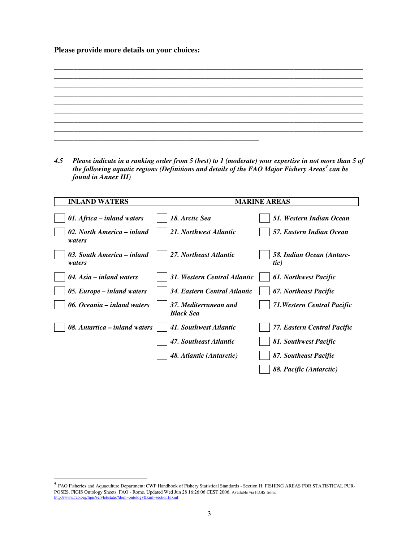**Please provide more details on your choices:**

\_\_\_\_\_\_\_\_\_\_\_\_\_\_\_\_\_\_\_\_\_\_\_\_\_\_\_\_\_\_\_\_\_\_\_\_\_\_\_\_\_\_\_\_\_\_\_\_\_\_\_\_\_\_\_\_\_\_\_\_\_\_\_\_\_\_\_\_\_\_\_\_\_\_\_\_\_\_\_\_ \_\_\_\_\_\_\_\_\_\_\_\_\_\_\_\_\_\_\_\_\_\_\_\_\_\_\_\_\_\_\_\_\_\_\_\_\_\_\_\_\_\_\_\_\_\_\_\_\_\_\_\_\_\_\_\_\_\_\_\_\_\_\_\_\_\_\_\_\_\_\_\_\_\_\_\_\_\_\_\_ \_\_\_\_\_\_\_\_\_\_\_\_\_\_\_\_\_\_\_\_\_\_\_\_\_\_\_\_\_\_\_\_\_\_\_\_\_\_\_\_\_\_\_\_\_\_\_\_\_\_\_\_\_\_\_\_\_\_\_\_\_\_\_\_\_\_\_\_\_\_\_\_\_\_\_\_\_\_\_\_ \_\_\_\_\_\_\_\_\_\_\_\_\_\_\_\_\_\_\_\_\_\_\_\_\_\_\_\_\_\_\_\_\_\_\_\_\_\_\_\_\_\_\_\_\_\_\_\_\_\_\_\_\_\_\_\_\_\_\_\_\_\_\_\_\_\_\_\_\_\_\_\_\_\_\_\_\_\_\_\_ \_\_\_\_\_\_\_\_\_\_\_\_\_\_\_\_\_\_\_\_\_\_\_\_\_\_\_\_\_\_\_\_\_\_\_\_\_\_\_\_\_\_\_\_\_\_\_\_\_\_\_\_\_\_\_\_\_\_\_\_\_\_\_\_\_\_\_\_\_\_\_\_\_\_\_\_\_\_\_\_ \_\_\_\_\_\_\_\_\_\_\_\_\_\_\_\_\_\_\_\_\_\_\_\_\_\_\_\_\_\_\_\_\_\_\_\_\_\_\_\_\_\_\_\_\_\_\_\_\_\_\_\_\_\_\_\_\_\_\_\_\_\_\_\_\_\_\_\_\_\_\_\_\_\_\_\_\_\_\_\_ \_\_\_\_\_\_\_\_\_\_\_\_\_\_\_\_\_\_\_\_\_\_\_\_\_\_\_\_\_\_\_\_\_\_\_\_\_\_\_\_\_\_\_\_\_\_\_\_\_\_\_\_\_\_\_\_\_\_\_\_\_\_\_\_\_\_\_\_\_\_\_\_\_\_\_\_\_\_\_\_ \_\_\_\_\_\_\_\_\_\_\_\_\_\_\_\_\_\_\_\_\_\_\_\_\_\_\_\_\_\_\_\_\_\_\_\_\_\_\_\_\_\_\_\_\_\_\_\_\_\_\_\_\_

*4.5 Please indicate in a ranking order from 5 (best) to 1 (moderate) your expertise in not more than 5 of the following aquatic regions (Definitions and details of the FAO Major Fishery Areas<sup>4</sup> can be found in Annex III)* 

| <b>INLAND WATERS</b>                                     | <b>MARINE AREAS</b>                                          |                                                       |  |
|----------------------------------------------------------|--------------------------------------------------------------|-------------------------------------------------------|--|
| 01. Africa – inland waters<br>02. North America – inland | 18. Arctic Sea<br>21. Northwest Atlantic                     | 51. Western Indian Ocean<br>57. Eastern Indian Ocean  |  |
| waters<br>03. South America – inland<br>waters           | 27. Northeast Atlantic                                       | 58. Indian Ocean (Antarc-<br>tic)                     |  |
| $04. Asia - inland waters$<br>05. Europe – inland waters | 31. Western Central Atlantic<br>34. Eastern Central Atlantic | <b>61. Northwest Pacific</b><br>67. Northeast Pacific |  |
| 06. Oceania – inland waters                              | 37. Mediterranean and<br><b>Black Sea</b>                    | <b>71. Western Central Pacific</b>                    |  |
| 08. Antartica – inland waters                            | 41. Southwest Atlantic<br>47. Southeast Atlantic             | 77. Eastern Central Pacific<br>81. Southwest Pacific  |  |
|                                                          | 48. Atlantic (Antarctic)                                     | 87. Southeast Pacific<br>88. Pacific (Antarctic)      |  |

-

<sup>&</sup>lt;sup>4</sup> FAO Fisheries and Aquaculture Department: CWP Handbook of Fishery Statistical Standards - Section H: FISHING AREAS FOR STATISTICAL PUR-POSES. FIGIS Ontology Sheets. FAO - Rome. Updated Wed Jun 28 16:26:06 CEST 2006. Available via FIGIS from:<br>http://www.fao.org/figis/servlet/static?dom=ontology&xml=sectionH.xml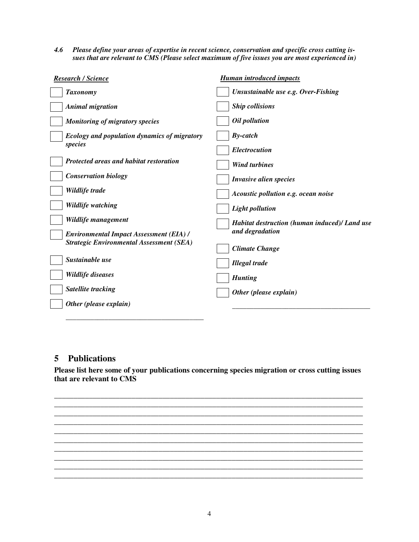*4.6 Please define your areas of expertise in recent science, conservation and specific cross cutting issues that are relevant to CMS (Please select maximum of five issues you are most experienced in)* 

| Unsustainable use e.g. Over-Fishing<br><b>Taxonomy</b><br><b>Ship collisions</b><br><b>Animal migration</b><br>Oil pollution<br><b>Monitoring of migratory species</b><br>$By-catch$<br><b>Ecology and population dynamics of migratory</b><br>species<br><b>Electrocution</b><br>Protected areas and habitat restoration<br><b>Wind turbines</b><br><b>Conservation biology</b><br>Invasive alien species<br>Wildlife trade<br>Acoustic pollution e.g. ocean noise<br>Wildlife watching<br><b>Light pollution</b><br>Wildlife management<br>Habitat destruction (human induced)/ Land use<br>and degradation<br><b>Environmental Impact Assessment (EIA) /</b><br><b>Strategic Environmental Assessment (SEA)</b><br><b>Climate Change</b><br>Sustainable use<br><b>Illegal</b> trade<br>Wildlife diseases<br><b>Hunting</b><br><b>Satellite tracking</b><br>Other (please explain)<br>Other (please explain) | <b>Research / Science</b> | <b>Human introduced impacts</b> |  |
|----------------------------------------------------------------------------------------------------------------------------------------------------------------------------------------------------------------------------------------------------------------------------------------------------------------------------------------------------------------------------------------------------------------------------------------------------------------------------------------------------------------------------------------------------------------------------------------------------------------------------------------------------------------------------------------------------------------------------------------------------------------------------------------------------------------------------------------------------------------------------------------------------------------|---------------------------|---------------------------------|--|
|                                                                                                                                                                                                                                                                                                                                                                                                                                                                                                                                                                                                                                                                                                                                                                                                                                                                                                                |                           |                                 |  |
|                                                                                                                                                                                                                                                                                                                                                                                                                                                                                                                                                                                                                                                                                                                                                                                                                                                                                                                |                           |                                 |  |
|                                                                                                                                                                                                                                                                                                                                                                                                                                                                                                                                                                                                                                                                                                                                                                                                                                                                                                                |                           |                                 |  |
|                                                                                                                                                                                                                                                                                                                                                                                                                                                                                                                                                                                                                                                                                                                                                                                                                                                                                                                |                           |                                 |  |
|                                                                                                                                                                                                                                                                                                                                                                                                                                                                                                                                                                                                                                                                                                                                                                                                                                                                                                                |                           |                                 |  |
|                                                                                                                                                                                                                                                                                                                                                                                                                                                                                                                                                                                                                                                                                                                                                                                                                                                                                                                |                           |                                 |  |
|                                                                                                                                                                                                                                                                                                                                                                                                                                                                                                                                                                                                                                                                                                                                                                                                                                                                                                                |                           |                                 |  |
|                                                                                                                                                                                                                                                                                                                                                                                                                                                                                                                                                                                                                                                                                                                                                                                                                                                                                                                |                           |                                 |  |
|                                                                                                                                                                                                                                                                                                                                                                                                                                                                                                                                                                                                                                                                                                                                                                                                                                                                                                                |                           |                                 |  |
|                                                                                                                                                                                                                                                                                                                                                                                                                                                                                                                                                                                                                                                                                                                                                                                                                                                                                                                |                           |                                 |  |
|                                                                                                                                                                                                                                                                                                                                                                                                                                                                                                                                                                                                                                                                                                                                                                                                                                                                                                                |                           |                                 |  |
|                                                                                                                                                                                                                                                                                                                                                                                                                                                                                                                                                                                                                                                                                                                                                                                                                                                                                                                |                           |                                 |  |
|                                                                                                                                                                                                                                                                                                                                                                                                                                                                                                                                                                                                                                                                                                                                                                                                                                                                                                                |                           |                                 |  |
|                                                                                                                                                                                                                                                                                                                                                                                                                                                                                                                                                                                                                                                                                                                                                                                                                                                                                                                |                           |                                 |  |
|                                                                                                                                                                                                                                                                                                                                                                                                                                                                                                                                                                                                                                                                                                                                                                                                                                                                                                                |                           |                                 |  |
|                                                                                                                                                                                                                                                                                                                                                                                                                                                                                                                                                                                                                                                                                                                                                                                                                                                                                                                |                           |                                 |  |

# **5 Publications**

*\_\_\_\_\_\_\_\_\_\_\_\_\_\_\_\_\_\_\_\_\_\_\_\_\_\_\_\_\_\_\_\_\_\_\_\_\_\_\_* 

**Please list here some of your publications concerning species migration or cross cutting issues that are relevant to CMS** 

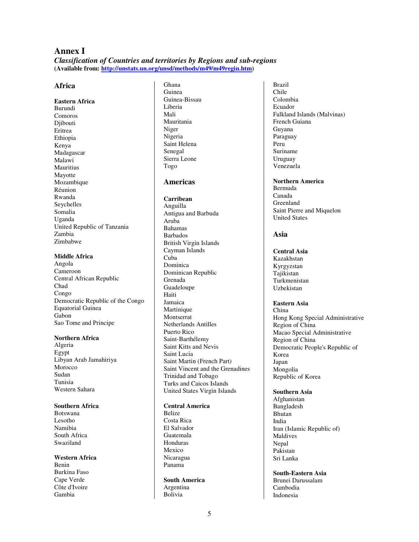# **Annex I**  *Classification of Countries and territories by Regions and sub-regions*  **(Available from: http://unstats.un.org/unsd/methods/m49/m49regin.htm)**

# **Africa**

**Eastern Africa**  Burundi Comoros Diibouti Eritrea Ethiopia Kenya Madagascar Malawi Mauritius Mayotte Mozambique Réunion Rwanda Seychelles Somalia Uganda United Republic of Tanzania Zambia Zimbabwe

#### **Middle Africa**

Angola Cameroon Central African Republic Chad Congo Democratic Republic of the Congo Equatorial Guinea Gabon Sao Tome and Principe

#### **Northern Africa**

Algeria Egypt Libyan Arab Jamahiriya Morocco Sudan Tunisia Western Sahara

# **Southern Africa**

Botswana Lesotho Namibia South Africa Swaziland

**Western Africa**  Benin Burkina Faso Cape Verde Côte d'Ivoire Gambia

Ghana Guinea Guinea-Bissau Liberia Mali Mauritania Niger Nigeria Saint Helena Senegal Sierra Leone Togo

# **Americas**

# **Carribean**

Anguilla Antigua and Barbuda Aruba Bahamas Barbados British Virgin Islands Cayman Islands Cuba Dominica Dominican Republic Grenada Guadeloupe Haiti Jamaica **Martinique** Montserrat Netherlands Antilles Puerto Rico Saint-Barthélemy Saint Kitts and Nevis Saint Lucia Saint Martin (French Part) Saint Vincent and the Grenadines Trinidad and Tobago Turks and Caicos Islands United States Virgin Islands

# **Central America**

Belize Costa Rica El Salvador Guatemala Honduras Mexico Nicaragua Panama

#### **South America**  Argentina Bolivia

Brazil Chile Colombia Ecuador Falkland Islands (Malvinas) French Guiana Guyana Paraguay Peru Suriname Uruguay Venezuela

#### **Northern America**  Bermuda Canada Greenland Saint Pierre and Miquelon United States

# **Asia**

**Central Asia**  Kazakhstan Kyrgyzstan Tajikistan Turkmenistan Uzbekistan

#### **Eastern Asia** China Hong Kong Special Administrative Region of China Macao Special Administrative Region of China Democratic People's Republic of Korea Japan Mongolia Republic of Korea

#### **Southern Asia**  Afghanistan Bangladesh Bhutan India Iran (Islamic Republic of) Maldives Nepal Pakistan Sri Lanka

**South-Eastern Asia**  Brunei Darussalam Cambodia Indonesia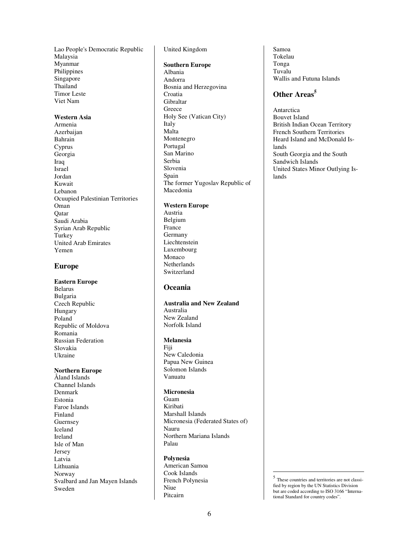Lao People's Democratic Republic Malaysia Myanmar Philippines Singapore Thailand Timor Leste Viet Nam

#### **Western Asia**

Armenia Azerbaijan Bahrain Cyprus Georgia Iraq Israel Jordan Kuwait Lebanon Ocuupied Palestinian Territories Oman **O**atar Saudi Arabia Syrian Arab Republic **Turkey** United Arab Emirates Yemen

# **Europe**

# **Eastern Europe**

Belarus Bulgaria Czech Republic Hungary Poland Republic of Moldova Romania Russian Federation Slovakia Ukraine

### **Northern Europe**

Åland Islands Channel Islands Denmark Estonia Faroe Islands Finland Guernsey Iceland Ireland Isle of Man Jersey Latvia Lithuania Norway Svalbard and Jan Mayen Islands Sweden

### United Kingdom

#### **Southern Europe**

Albania Andorra Bosnia and Herzegovina Croatia Gibraltar Greece Holy See (Vatican City) Italy Malta Montenegro Portugal San Marino Serbia Slovenia Spain The former Yugoslav Republic of Macedonia

#### **Western Europe**

Austria Belgium France Germany Liechtenstein Luxembourg Monaco **Netherlands** Switzerland

# **Oceania**

# **Australia and New Zealand**  Australia New Zealand Norfolk Island

### **Melanesia**

Fiji New Caledonia Papua New Guinea Solomon Islands Vanuatu

#### **Micronesia**

Guam Kiribati Marshall Islands Micronesia (Federated States of) Nauru Northern Mariana Islands Palau

#### **Polynesia**

American Samoa Cook Islands French Polynesia Niue Pitcairn

Samoa Tokelau Tonga Tuvalu Wallis and Futuna Islands

# **Other Areas<sup>5</sup>**

Antarctica Bouvet Island British Indian Ocean Territory French Southern Territories Heard Island and McDonald Islands South Georgia and the South Sandwich Islands United States Minor Outlying Islands

 5 These countries and territories are not classified by region by the UN Statistics Division but are coded according to ISO 3166 "International Standard for country codes".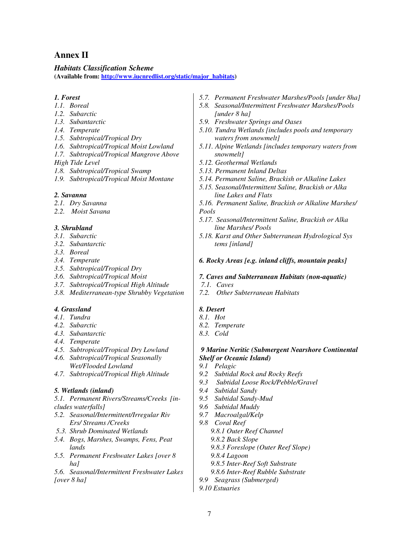# **Annex II**

### *Habitats Classification Scheme*

**(Available from: http://www.iucnredlist.org/static/major\_habitats)**

### *1. Forest*

- *1.1. Boreal*
- *1.2. Subarctic*
- *1.3. Subantarctic*
- *1.4. Temperate*
- *1.5. Subtropical/Tropical Dry*
- *1.6. Subtropical/Tropical Moist Lowland*
- *1.7. Subtropical/Tropical Mangrove Above*

*High Tide Level* 

- *1.8. Subtropical/Tropical Swamp*
- *1.9. Subtropical/Tropical Moist Montane*

### *2. Savanna*

- *2.1. Dry Savanna*
- *2.2. Moist Savana*

# *3. Shrubland*

- *3.1. Subarctic*
- *3.2. Subantarctic*
- *3.3. Boreal*
- *3.4. Temperate*
- *3.5. Subtropical/Tropical Dry*
- *3.6. Subtropical/Tropical Moist*
- *3.7. Subtropical/Tropical High Altitude*
- *3.8. Mediterranean-type Shrubby Vegetation*

# *4. Grassland*

- *4.1. Tundra*
- *4.2. Subarctic*
- *4.3. Subantarctic*
- *4.4. Temperate*
- *4.5. Subtropical/Tropical Dry Lowland*
- *4.6. Subtropical/Tropical Seasonally Wet/Flooded Lowland*
- *4.7. Subtropical/Tropical High Altitude*

# *5. Wetlands (inland)*

*5.1. Permanent Rivers/Streams/Creeks [includes waterfalls]* 

- *5.2. Seasonal/Intermittent/Irregular Riv Ers/ Streams /Creeks*
- *5.3. Shrub Dominated Wetlands*
- *5.4. Bogs, Marshes, Swamps, Fens, Peat lands*
- *5.5. Permanent Freshwater Lakes [over 8 ha]*
- *5.6. Seasonal/Intermittent Freshwater Lakes [over 8 ha]*
- *5.7. Permanent Freshwater Marshes/Pools [under 8ha]*
- *5.8. Seasonal/Intermittent Freshwater Marshes/Pools [under 8 ha]*
- *5.9. Freshwater Springs and Oases*
- *5.10. Tundra Wetlands [includes pools and temporary waters from snowmelt]*
- *5.11. Alpine Wetlands [includes temporary waters from snowmelt]*
- *5.12. Geothermal Wetlands*
- *5.13. Permanent Inland Deltas*
- *5.14. Permanent Saline, Brackish or Alkaline Lakes*
- *5.15. Seasonal/Intermittent Saline, Brackish or Alka line Lakes and Flats*
- *5.16. Permanent Saline, Brackish or Alkaline Marshes/ Pools*
- *5.17. Seasonal/Intermittent Saline, Brackish or Alka line Marshes/ Pools*
- *5.18. Karst and Other Subterranean Hydrological Sys tems [inland]*

### *6. Rocky Areas [e.g. inland cliffs, mountain peaks]*

- *7. Caves and Subterranean Habitats (non-aquatic)*
- *7.1. Caves*
- *7.2. Other Subterranean Habitats*

# *8. Desert*

- *8.1. Hot*
- *8.2. Temperate*
- *8.3. Cold*

# *9 Marine Neritic (Submergent Nearshore Continental Shelf or Oceanic Island)*

- *9.1 Pelagic*
- *9.2 Subtidal Rock and Rocky Reefs*
- *9.3 Subtidal Loose Rock/Pebble/Gravel*
- *9.4 Subtidal Sandy*
- *9.5 Subtidal Sandy-Mud*
- *9.6 Subtidal Muddy*
- *9.7 Macroalgal/Kelp*
- *9.8 Coral Reef* 
	- *9.8.1 Outer Reef Channel*
	- *9.8.2 Back Slope*
	- *9.8.3 Foreslope (Outer Reef Slope)*
	- *9.8.4 Lagoon*
	- *9.8.5 Inter-Reef Soft Substrate*
	- *9.8.6 Inter-Reef Rubble Substrate*
- *9.9 Seagrass (Submerged)*
- *9.10 Estuaries*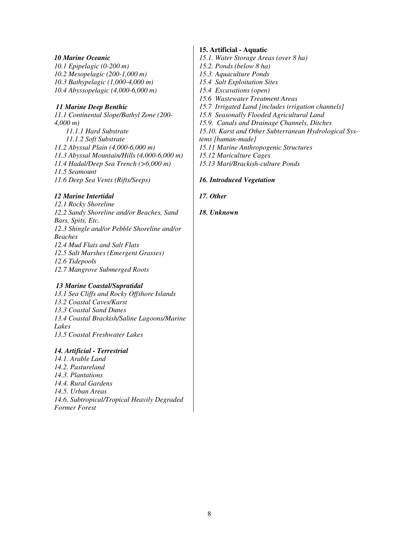### *10 Marine Oceanic*

*10.1 Epipelagic (0-200 m) 10.2 Mesopelagic (200-1,000 m) 10.3 Bathypelagic (1,000-4,000 m) 10.4 Abyssopelagic (4,000-6,000 m)* 

# *11 Marine Deep Benthic*

*11.1 Continental Slope/Bathyl Zone (200- 4,000 m) 11.1.1 Hard Substrate 11.1.2 Soft Substrate 11.2 Abyssal Plain (4,000-6,000 m) 11.3 Abyssal Mountain/Hills (4,000-6,000 m) 11.4 Hadal/Deep Sea Trench (>6,000 m) 11.5 Seamount 11.6 Deep Sea Vents (Rifts/Seeps)* 

# *12 Marine Intertidal*

*12.1 Rocky Shoreline 12.2 Sandy Shoreline and/or Beaches, Sand Bars, Spits, Etc. 12.3 Shingle and/or Pebble Shoreline and/or Beaches 12.4 Mud Flats and Salt Flats 12.5 Salt Marshes (Emergent Grasses) 12.6 Tidepools 12.7 Mangrove Submerged Roots* 

# *13 Marine Coastal/Supratidal*

*13.1 Sea Cliffs and Rocky Offshore Islands 13.2 Coastal Caves/Karst 13.3 Coastal Sand Dunes 13.4 Coastal Brackish/Saline Lagoons/Marine Lakes 13.5 Coastal Freshwater Lakes* 

# *14. Artificial - Terrestrial*

*14.1. Arable Land 14.2. Pastureland 14.3. Plantations 14.4. Rural Gardens 14.5. Urban Areas 14.6. Subtropical/Tropical Heavily Degraded Former Forest* 

# **15. Artificial - Aquatic**

- *15.1. Water Storage Areas (over 8 ha)*
- *15.2. Ponds (below 8 ha)*
- *15.3. Aquaculture Ponds*
- *15.4 Salt Exploitation Sites*
- *15.4 Excavations (open)*
- *15.6 Wastewater Treatment Areas*
- *15.7 Irrigated Land [includes irrigation channels]*
- *15.8 Seasonally Flooded Agricultural Land*
- *15.9. Canals and Drainage Channels, Ditches*
- *15.10. Karst and Other Subterranean Hydrological Sys-*
- *tems [human-made]*
- *15.11 Marine Anthropogenic Structures*
- *15.12 Mariculture Cages*
- *15.13 Mari/Brackish-culture Ponds*

# *16. Introduced Vegetation*

# *17. Other*

# *18. Unknown*